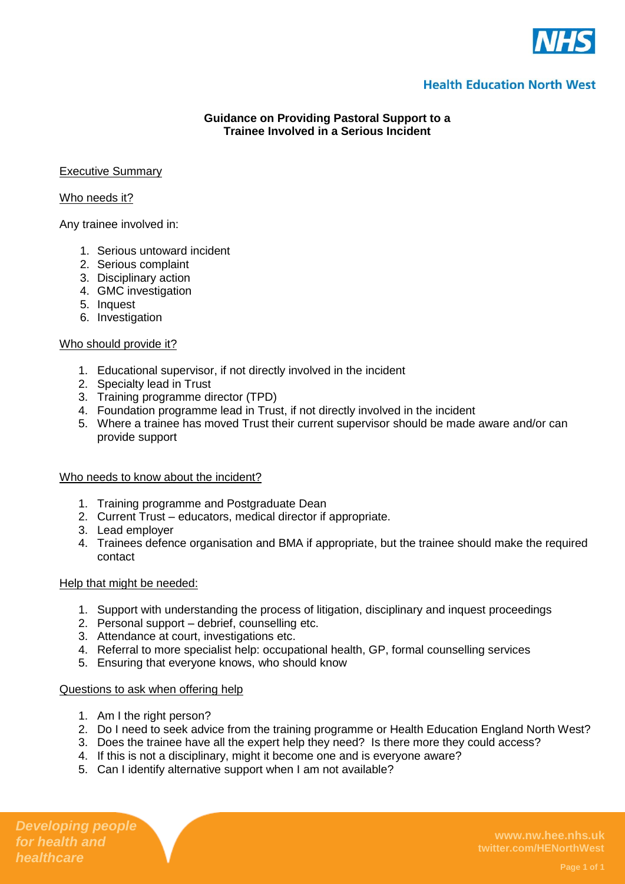

# **Health Education North West**

## **Guidance on Providing Pastoral Support to a Trainee Involved in a Serious Incident**

## Executive Summary

## Who needs it?

Any trainee involved in:

- 1. Serious untoward incident
- 2. Serious complaint
- 3. Disciplinary action
- 4. GMC investigation
- 5. Inquest
- 6. Investigation

## Who should provide it?

- 1. Educational supervisor, if not directly involved in the incident
- 2. Specialty lead in Trust
- 3. Training programme director (TPD)
- 4. Foundation programme lead in Trust, if not directly involved in the incident
- 5. Where a trainee has moved Trust their current supervisor should be made aware and/or can provide support

### Who needs to know about the incident?

- 1. Training programme and Postgraduate Dean
- 2. Current Trust educators, medical director if appropriate.
- 3. Lead employer
- 4. Trainees defence organisation and BMA if appropriate, but the trainee should make the required contact

### Help that might be needed:

- 1. Support with understanding the process of litigation, disciplinary and inquest proceedings
- 2. Personal support debrief, counselling etc.
- 3. Attendance at court, investigations etc.
- 4. Referral to more specialist help: occupational health, GP, formal counselling services
- 5. Ensuring that everyone knows, who should know

### Questions to ask when offering help

- 1. Am I the right person?
- 2. Do I need to seek advice from the training programme or Health Education England North West?
- 3. Does the trainee have all the expert help they need? Is there more they could access?
- 4. If this is not a disciplinary, might it become one and is everyone aware?
- 5. Can I identify alternative support when I am not available?

*Developing people for health and healthcare*

**www.nw.hee.nhs.uk twitter.com/HENorthWest**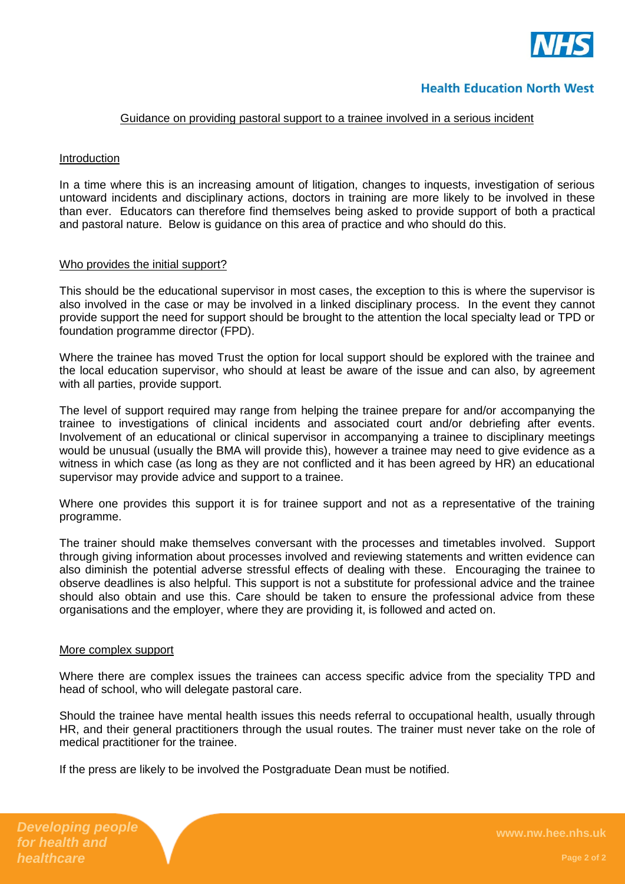

## **Health Education North West**

### Guidance on providing pastoral support to a trainee involved in a serious incident

### Introduction

In a time where this is an increasing amount of litigation, changes to inquests, investigation of serious untoward incidents and disciplinary actions, doctors in training are more likely to be involved in these than ever. Educators can therefore find themselves being asked to provide support of both a practical and pastoral nature. Below is guidance on this area of practice and who should do this.

#### Who provides the initial support?

This should be the educational supervisor in most cases, the exception to this is where the supervisor is also involved in the case or may be involved in a linked disciplinary process. In the event they cannot provide support the need for support should be brought to the attention the local specialty lead or TPD or foundation programme director (FPD).

Where the trainee has moved Trust the option for local support should be explored with the trainee and the local education supervisor, who should at least be aware of the issue and can also, by agreement with all parties, provide support.

The level of support required may range from helping the trainee prepare for and/or accompanying the trainee to investigations of clinical incidents and associated court and/or debriefing after events. Involvement of an educational or clinical supervisor in accompanying a trainee to disciplinary meetings would be unusual (usually the BMA will provide this), however a trainee may need to give evidence as a witness in which case (as long as they are not conflicted and it has been agreed by HR) an educational supervisor may provide advice and support to a trainee.

Where one provides this support it is for trainee support and not as a representative of the training programme.

The trainer should make themselves conversant with the processes and timetables involved. Support through giving information about processes involved and reviewing statements and written evidence can also diminish the potential adverse stressful effects of dealing with these. Encouraging the trainee to observe deadlines is also helpful. This support is not a substitute for professional advice and the trainee should also obtain and use this. Care should be taken to ensure the professional advice from these organisations and the employer, where they are providing it, is followed and acted on.

#### More complex support

Where there are complex issues the trainees can access specific advice from the speciality TPD and head of school, who will delegate pastoral care.

Should the trainee have mental health issues this needs referral to occupational health, usually through HR, and their general practitioners through the usual routes. The trainer must never take on the role of medical practitioner for the trainee.

If the press are likely to be involved the Postgraduate Dean must be notified.